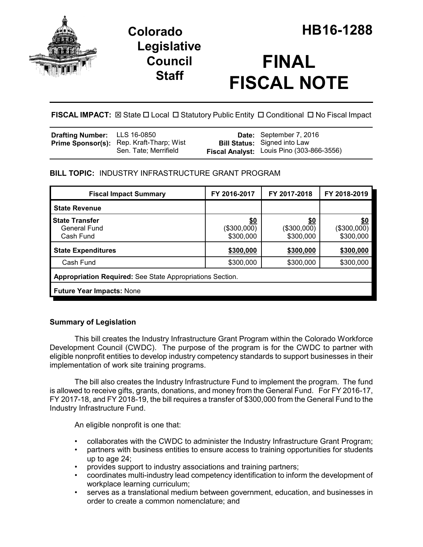

# **Legislative Council Staff**

# **FINAL FISCAL NOTE**

**FISCAL IMPACT:**  $\boxtimes$  State  $\Box$  Local  $\Box$  Statutory Public Entity  $\Box$  Conditional  $\Box$  No Fiscal Impact

| <b>Drafting Number:</b> LLS 16-0850 |                                                                          | <b>Date:</b> September 7, 2016                                                   |
|-------------------------------------|--------------------------------------------------------------------------|----------------------------------------------------------------------------------|
|                                     | <b>Prime Sponsor(s):</b> Rep. Kraft-Tharp; Wist<br>Sen. Tate; Merrifield | <b>Bill Status:</b> Signed into Law<br>Fiscal Analyst: Louis Pino (303-866-3556) |

# **BILL TOPIC:** INDUSTRY INFRASTRUCTURE GRANT PROGRAM

| <b>Fiscal Impact Summary</b>                              | FY 2016-2017                    | FY 2017-2018                           | FY 2018-2019                    |  |  |
|-----------------------------------------------------------|---------------------------------|----------------------------------------|---------------------------------|--|--|
| <b>State Revenue</b>                                      |                                 |                                        |                                 |  |  |
| <b>State Transfer</b><br>General Fund<br>Cash Fund        | \$0<br>(\$300,000)<br>\$300,000 | <u>\$0</u><br>(\$300,000)<br>\$300,000 | \$0<br>(\$300,000)<br>\$300,000 |  |  |
| <b>State Expenditures</b>                                 | \$300,000                       | \$300,000                              | \$300,000                       |  |  |
| Cash Fund                                                 | \$300,000                       | \$300,000                              | \$300,000                       |  |  |
| Appropriation Required: See State Appropriations Section. |                                 |                                        |                                 |  |  |
| <b>Future Year Impacts: None</b>                          |                                 |                                        |                                 |  |  |

# **Summary of Legislation**

This bill creates the Industry Infrastructure Grant Program within the Colorado Workforce Development Council (CWDC). The purpose of the program is for the CWDC to partner with eligible nonprofit entities to develop industry competency standards to support businesses in their implementation of work site training programs.

The bill also creates the Industry Infrastructure Fund to implement the program. The fund is allowed to receive gifts, grants, donations, and money from the General Fund. For FY 2016-17, FY 2017-18, and FY 2018-19, the bill requires a transfer of \$300,000 from the General Fund to the Industry Infrastructure Fund.

An eligible nonprofit is one that:

- collaborates with the CWDC to administer the Industry Infrastructure Grant Program;
- partners with business entities to ensure access to training opportunities for students up to age 24;
- provides support to industry associations and training partners;
- coordinates multi-industry lead competency identification to inform the development of workplace learning curriculum;
- serves as a translational medium between government, education, and businesses in order to create a common nomenclature; and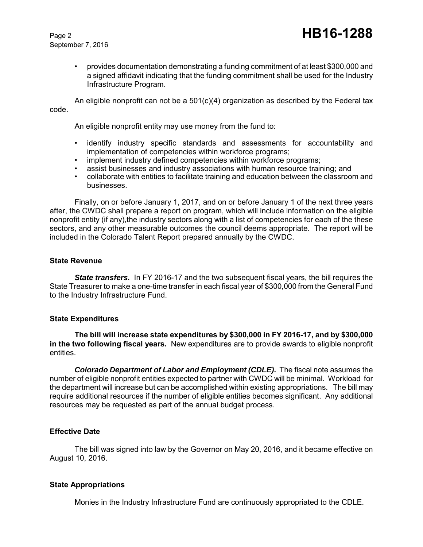September 7, 2016

• provides documentation demonstrating a funding commitment of at least \$300,000 and a signed affidavit indicating that the funding commitment shall be used for the Industry Infrastructure Program.

An eligible nonprofit can not be a  $501(c)(4)$  organization as described by the Federal tax code.

An eligible nonprofit entity may use money from the fund to:

- identify industry specific standards and assessments for accountability and implementation of competencies within workforce programs;
- implement industry defined competencies within workforce programs;
- assist businesses and industry associations with human resource training; and
- collaborate with entities to facilitate training and education between the classroom and businesses.

Finally, on or before January 1, 2017, and on or before January 1 of the next three years after, the CWDC shall prepare a report on program, which will include information on the eligible nonprofit entity (if any), the industry sectors along with a list of competencies for each of the these sectors, and any other measurable outcomes the council deems appropriate. The report will be included in the Colorado Talent Report prepared annually by the CWDC.

#### **State Revenue**

**State transfers.** In FY 2016-17 and the two subsequent fiscal years, the bill requires the State Treasurer to make a one-time transfer in each fiscal year of \$300,000 from the General Fund to the Industry Infrastructure Fund.

#### **State Expenditures**

**The bill will increase state expenditures by \$300,000 in FY 2016-17, and by \$300,000 in the two following fiscal years.** New expenditures are to provide awards to eligible nonprofit entities.

*Colorado Department of Labor and Employment (CDLE)***.** The fiscal note assumes the number of eligible nonprofit entities expected to partner with CWDC will be minimal. Workload for the department will increase but can be accomplished within existing appropriations. The bill may require additional resources if the number of eligible entities becomes significant. Any additional resources may be requested as part of the annual budget process.

## **Effective Date**

The bill was signed into law by the Governor on May 20, 2016, and it became effective on August 10, 2016.

## **State Appropriations**

Monies in the Industry Infrastructure Fund are continuously appropriated to the CDLE.